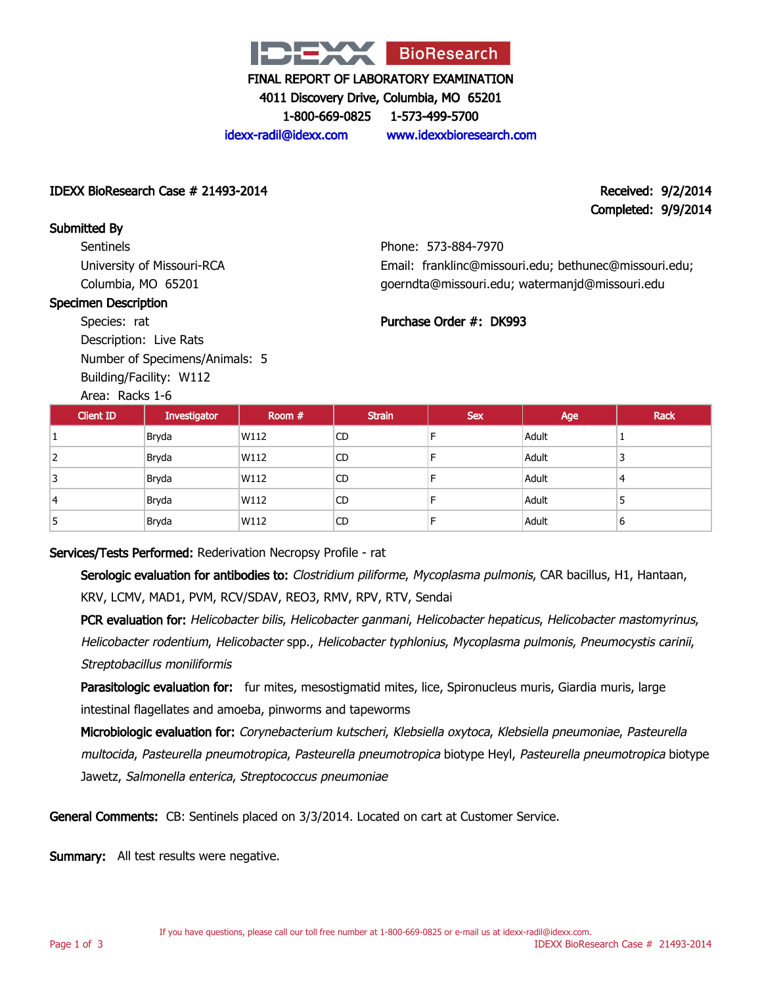

4011 Discovery Drive, Columbia, MO 65201

1-800-669-0825 1-573-499-5700

idexx-radil@idexx.com www.idexxbioresearch.com

#### IDEXX BioResearch Case # 21493-2014 Received: 9/2/2014

# Completed: 9/9/2014

Submitted By **Sentinels** University of Missouri-RCA Columbia, MO 65201

#### Specimen Description

Species: rat Description: Live Rats Number of Specimens/Animals: 5

Building/Facility: W112

Area: Racks 1-6

Phone: 573-884-7970 Email: franklinc@missouri.edu; bethunec@missouri.edu; goerndta@missouri.edu; watermanjd@missouri.edu

Purchase Order #: DK993

| <b>Client ID</b> | Investigator | Room # | <b>Strain</b> | <b>Sex</b> | Age   | <b>Rack</b> |
|------------------|--------------|--------|---------------|------------|-------|-------------|
|                  | Bryda        | W112   | <b>CD</b>     |            | Adult |             |
| 2                | Bryda        | W112   | <b>CD</b>     |            | Adult |             |
|                  | Bryda        | W112   | CD            |            | Adult | 4           |
| $\overline{4}$   | Bryda        | W112   | <b>CD</b>     |            | Adult | c           |
| ь                | Bryda        | W112   | <b>CD</b>     |            | Adult | 6           |

Services/Tests Performed: Rederivation Necropsy Profile - rat

Serologic evaluation for antibodies to: Clostridium piliforme, Mycoplasma pulmonis, CAR bacillus, H1, Hantaan, KRV, LCMV, MAD1, PVM, RCV/SDAV, REO3, RMV, RPV, RTV, Sendai

PCR evaluation for: Helicobacter bilis, Helicobacter ganmani, Helicobacter hepaticus, Helicobacter mastomyrinus, Helicobacter rodentium, Helicobacter spp., Helicobacter typhlonius, Mycoplasma pulmonis, Pneumocystis carinii, Streptobacillus moniliformis

Parasitologic evaluation for: fur mites, mesostigmatid mites, lice, Spironucleus muris, Giardia muris, large intestinal flagellates and amoeba, pinworms and tapeworms

Microbiologic evaluation for: Corynebacterium kutscheri, Klebsiella oxytoca, Klebsiella pneumoniae, Pasteurella multocida, Pasteurella pneumotropica, Pasteurella pneumotropica biotype Heyl, Pasteurella pneumotropica biotype Jawetz, Salmonella enterica, Streptococcus pneumoniae

General Comments: CB: Sentinels placed on 3/3/2014. Located on cart at Customer Service.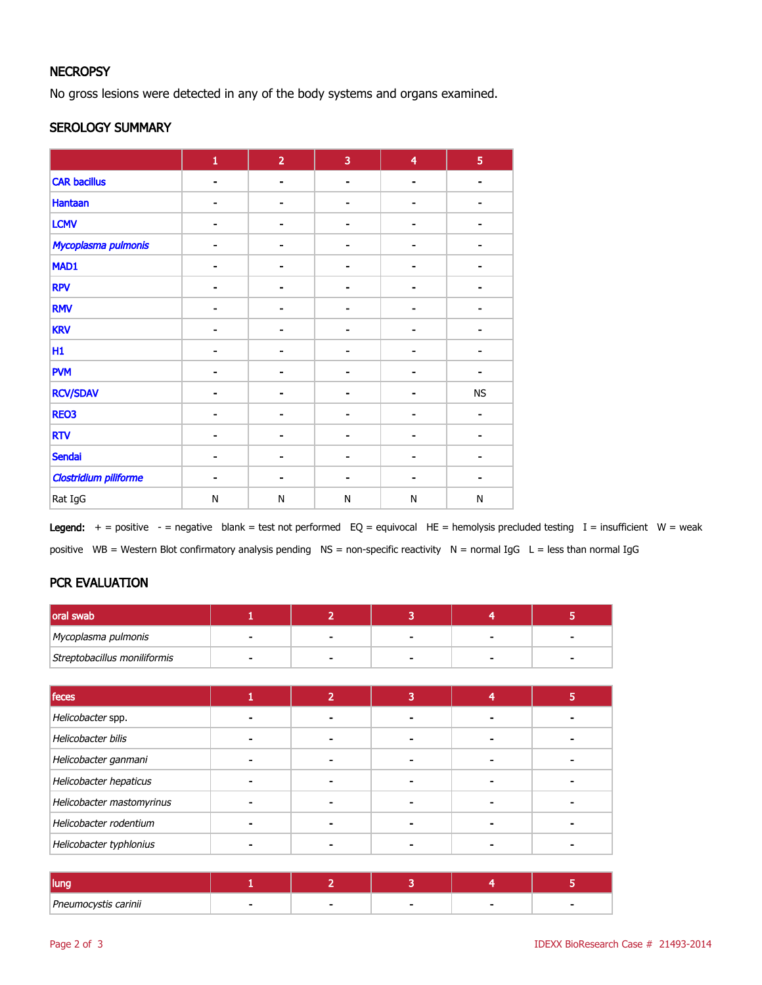# **NECROPSY**

No gross lesions were detected in any of the body systems and organs examined.

#### SEROLOGY SUMMARY

|                              | $\mathbf 1$    | $\overline{2}$ | 3              | $\overline{\mathbf{4}}$ | 5            |
|------------------------------|----------------|----------------|----------------|-------------------------|--------------|
| <b>CAR bacillus</b>          | $\blacksquare$ | ۰              | $\blacksquare$ | ۰                       |              |
| <b>Hantaan</b>               |                | -              |                |                         |              |
| <b>LCMV</b>                  |                |                |                |                         |              |
| Mycoplasma pulmonis          |                |                |                |                         |              |
| MAD1                         |                |                |                |                         |              |
| <b>RPV</b>                   | $\blacksquare$ | $\blacksquare$ | $\blacksquare$ | $\blacksquare$          |              |
| <b>RMV</b>                   |                |                |                |                         |              |
| <b>KRV</b>                   |                | -              |                |                         |              |
| H1                           |                |                |                |                         |              |
| <b>PVM</b>                   |                | ۰              |                | ۰                       |              |
| <b>RCV/SDAV</b>              |                | $\blacksquare$ |                |                         | ${\sf NS}$   |
| REO <sub>3</sub>             |                |                |                |                         |              |
| <b>RTV</b>                   |                |                |                |                         |              |
| Sendai                       |                |                |                |                         |              |
| <b>Clostridium piliforme</b> | $\blacksquare$ | $\blacksquare$ | $\blacksquare$ | $\blacksquare$          |              |
| Rat IgG                      | $\mathsf{N}$   | N              | N              | N                       | $\mathsf{N}$ |

Legend:  $+$  = positive  $-$  = negative blank = test not performed EQ = equivocal HE = hemolysis precluded testing I = insufficient W = weak positive WB = Western Blot confirmatory analysis pending NS = non-specific reactivity N = normal IgG L = less than normal IgG

# PCR EVALUATION

| oral swab                    | 1 | $\overline{2}$ | 3 | $\boldsymbol{4}$        | 5 |
|------------------------------|---|----------------|---|-------------------------|---|
| Mycoplasma pulmonis          |   |                |   |                         |   |
| Streptobacillus moniliformis |   |                |   |                         |   |
|                              |   |                |   |                         |   |
| feces                        | 1 | $\overline{2}$ | 3 | $\overline{\mathbf{4}}$ | 5 |
| Helicobacter spp.            |   |                |   |                         |   |
| Helicobacter bilis           |   |                |   |                         |   |
| Helicobacter ganmani         |   |                |   |                         |   |
| Helicobacter hepaticus       |   |                |   |                         |   |
| Helicobacter mastomyrinus    |   |                |   |                         |   |
| Helicobacter rodentium       |   |                |   |                         |   |
| Helicobacter typhlonius      |   |                |   |                         |   |

| Pneumocystis carinii | - |  |  |
|----------------------|---|--|--|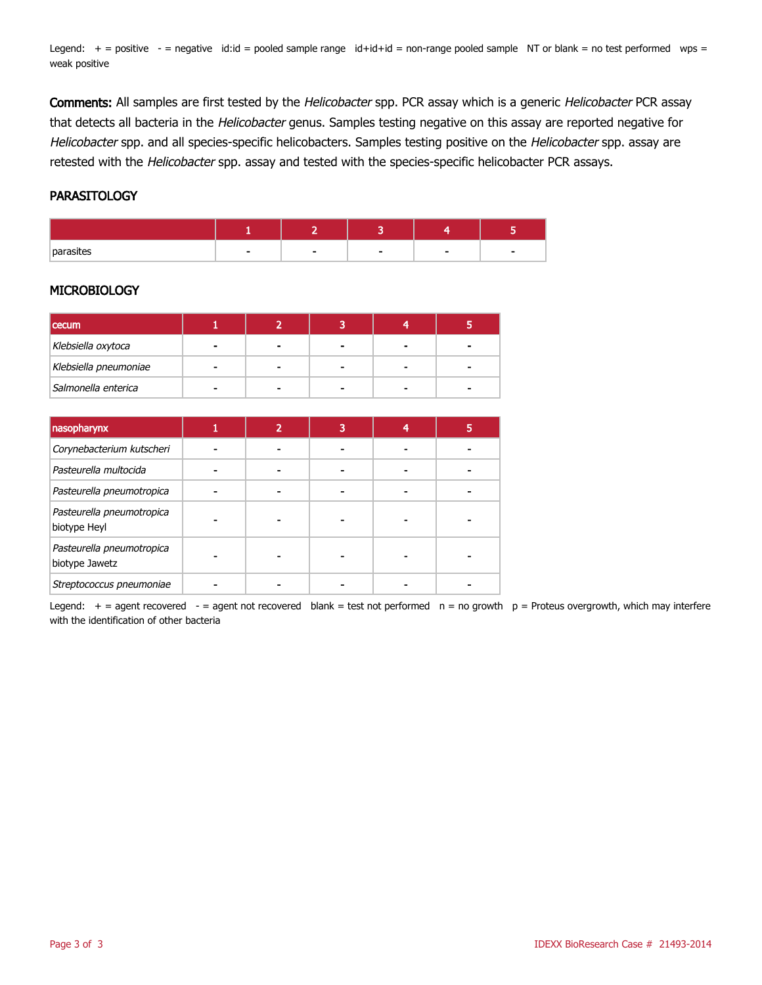Legend:  $+$  = positive  $-$  = negative id:id = pooled sample range id+id+id = non-range pooled sample NT or blank = no test performed wps = weak positive

Comments: All samples are first tested by the Helicobacter spp. PCR assay which is a generic Helicobacter PCR assay that detects all bacteria in the Helicobacter genus. Samples testing negative on this assay are reported negative for Helicobacter spp. and all species-specific helicobacters. Samples testing positive on the Helicobacter spp. assay are retested with the Helicobacter spp. assay and tested with the species-specific helicobacter PCR assays.

#### **PARASITOLOGY**

| nnr |  |  |  |
|-----|--|--|--|

## **MICROBIOLOGY**

| cecum                 |   |   |  |
|-----------------------|---|---|--|
| Klebsiella oxytoca    |   |   |  |
| Klebsiella pneumoniae | - | ۰ |  |
| Salmonella enterica   |   |   |  |

| nasopharynx                                 | 2 | 3 |  |
|---------------------------------------------|---|---|--|
| Corynebacterium kutscheri                   |   |   |  |
| Pasteurella multocida                       |   |   |  |
| Pasteurella pneumotropica                   |   |   |  |
| Pasteurella pneumotropica<br>biotype Heyl   |   |   |  |
| Pasteurella pneumotropica<br>biotype Jawetz |   |   |  |
| Streptococcus pneumoniae                    |   |   |  |

Legend:  $+$  = agent recovered  $-$  = agent not recovered blank = test not performed  $n = no$  growth  $p =$  Proteus overgrowth, which may interfere with the identification of other bacteria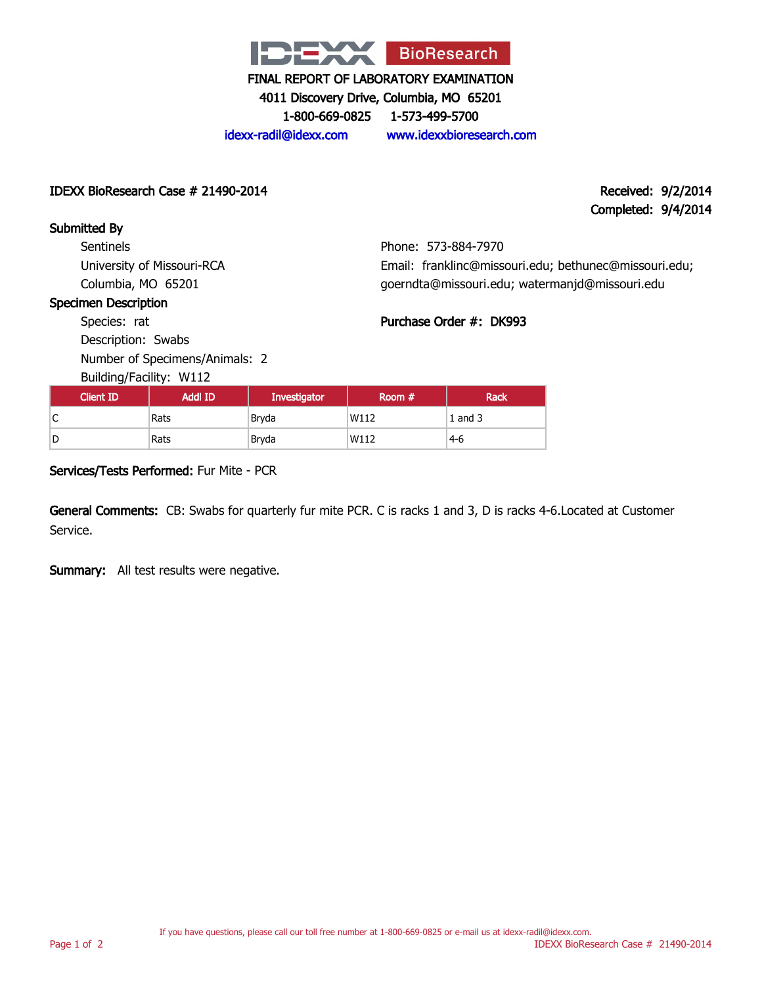

4011 Discovery Drive, Columbia, MO 65201

1-800-669-0825 1-573-499-5700

idexx-radil@idexx.com www.idexxbioresearch.com

IDEXX BioResearch Case # 21490-2014 Received: 9/2/2014

Completed: 9/4/2014

# Submitted By **Sentinels** University of Missouri-RCA Columbia, MO 65201

Phone: 573-884-7970 Email: franklinc@missouri.edu; bethunec@missouri.edu; goerndta@missouri.edu; watermanjd@missouri.edu

Purchase Order #: DK993

# Specimen Description

Species: rat Description: Swabs

Number of Specimens/Animals: 2

Building/Facility: W112

| <b>Client ID</b> | <b>Addl ID</b> | Investigator | l Room # | <b>Rack</b> |
|------------------|----------------|--------------|----------|-------------|
| ╭<br>◡           | Rats           | Bryda        | W112     | $1$ and $3$ |
| D                | Rats           | Bryda        | W112     | $4-6$       |

Services/Tests Performed: Fur Mite - PCR

General Comments: CB: Swabs for quarterly fur mite PCR. C is racks 1 and 3, D is racks 4-6.Located at Customer Service.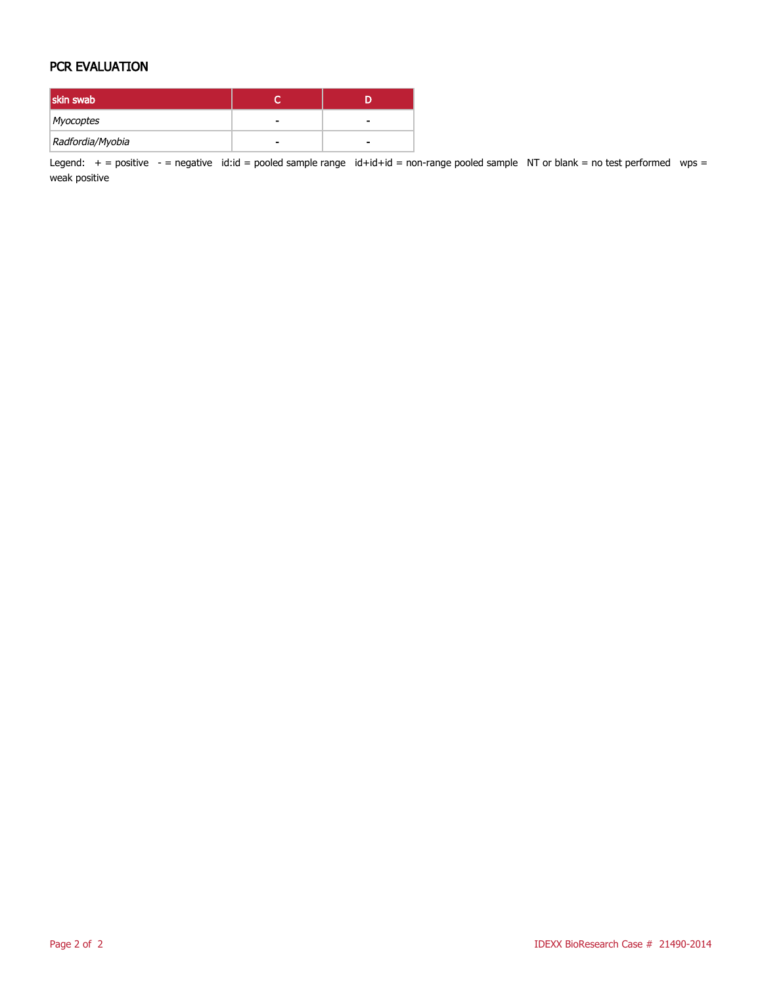## PCR EVALUATION

| skin swab        |   |  |
|------------------|---|--|
| Myocoptes        |   |  |
| Radfordia/Myobia | - |  |

Legend:  $+$  = positive  $-$  = negative id:id = pooled sample range id+id+id = non-range pooled sample NT or blank = no test performed wps = weak positive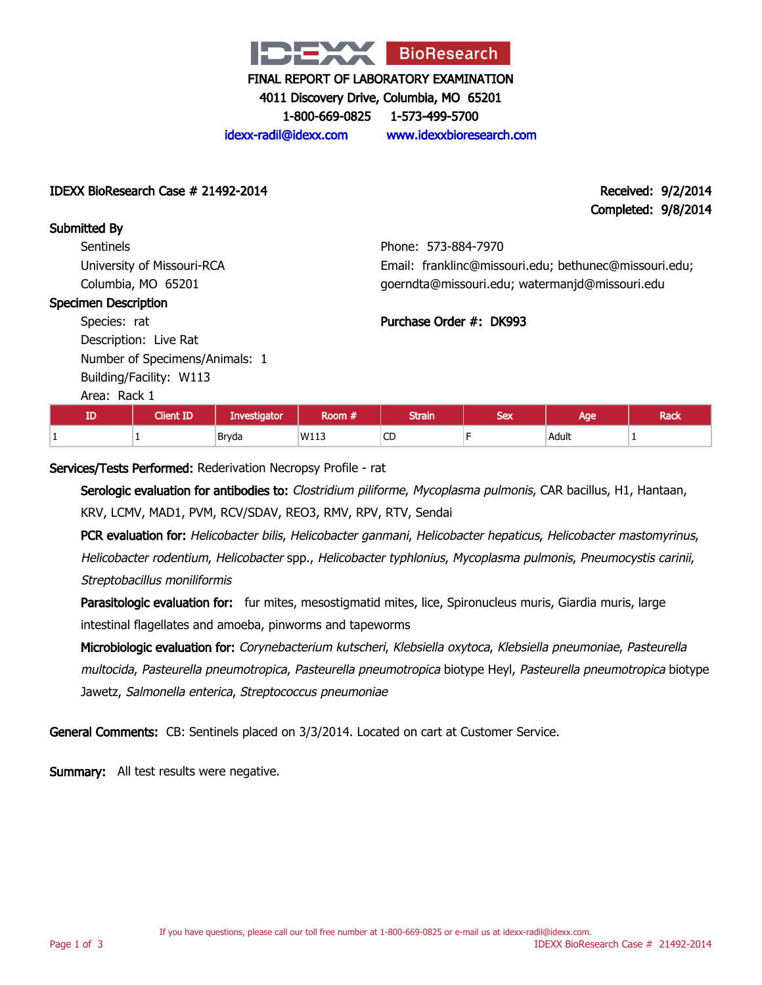

4011 Discovery Drive, Columbia, MO 65201

1-800-669-0825 1-573-499-5700

Phone: 573-884-7970

Purchase Order #: DK993

Email: franklinc@missouri.edu; bethunec@missouri.edu; goerndta@missouri.edu; watermanjd@missouri.edu

idexx-radil@idexx.com www.idexxbioresearch.com

IDEXX BioResearch Case # 21492-2014 Received: 9/2/2014

Completed: 9/8/2014

Submitted By **Sentinels** University of Missouri-RCA Columbia, MO 65201

# Specimen Description

Species: rat Description: Live Rat Number of Specimens/Animals: 1 Building/Facility: W113

Area: Rack 1

| <b>TD</b><br>Ш | <b>Client ID</b> | Investigator | <b>Room #</b> | <b>Strain</b> | Cov<br>يمتحب | Aae   | Rack |
|----------------|------------------|--------------|---------------|---------------|--------------|-------|------|
|                |                  | Bryda        | W113          | $\sim$<br>ᅛ   |              | Adult |      |

Services/Tests Performed: Rederivation Necropsy Profile - rat

Serologic evaluation for antibodies to: Clostridium piliforme, Mycoplasma pulmonis, CAR bacillus, H1, Hantaan, KRV, LCMV, MAD1, PVM, RCV/SDAV, REO3, RMV, RPV, RTV, Sendai

PCR evaluation for: Helicobacter bilis, Helicobacter ganmani, Helicobacter hepaticus, Helicobacter mastomyrinus, Helicobacter rodentium, Helicobacter spp., Helicobacter typhlonius, Mycoplasma pulmonis, Pneumocystis carinii, Streptobacillus moniliformis

Parasitologic evaluation for: fur mites, mesostigmatid mites, lice, Spironucleus muris, Giardia muris, large intestinal flagellates and amoeba, pinworms and tapeworms

Microbiologic evaluation for: Corynebacterium kutscheri, Klebsiella oxytoca, Klebsiella pneumoniae, Pasteurella multocida, Pasteurella pneumotropica, Pasteurella pneumotropica biotype Heyl, Pasteurella pneumotropica biotype Jawetz, Salmonella enterica, Streptococcus pneumoniae

General Comments: CB: Sentinels placed on 3/3/2014. Located on cart at Customer Service.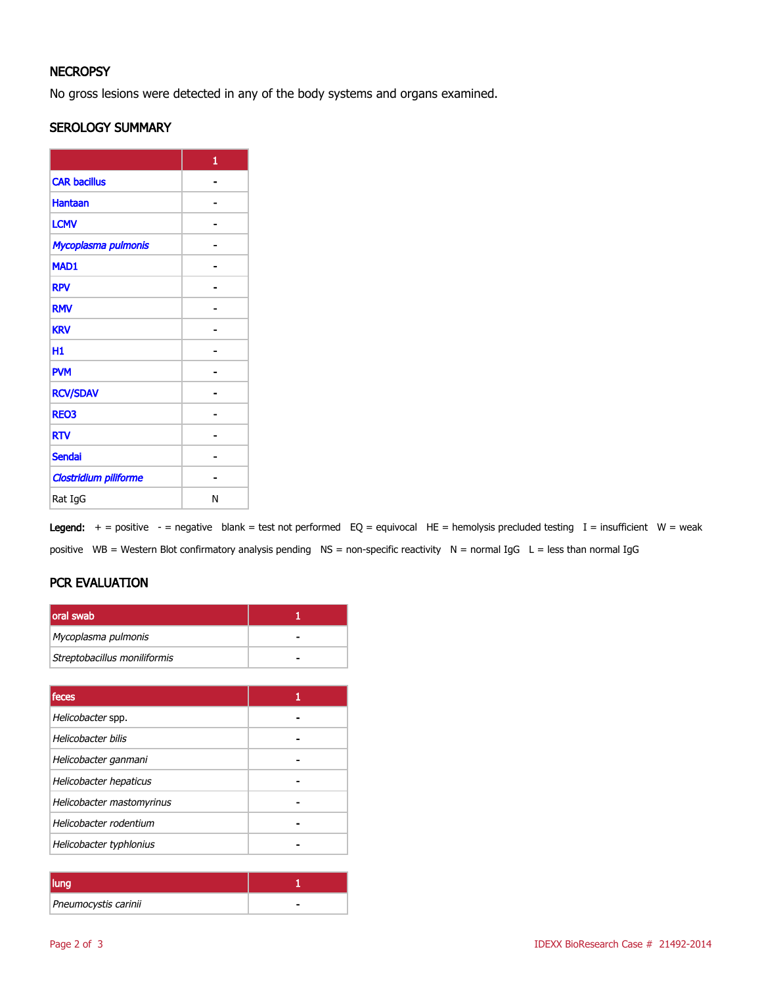# **NECROPSY**

No gross lesions were detected in any of the body systems and organs examined.

#### SEROLOGY SUMMARY

|                       | 1 |
|-----------------------|---|
| <b>CAR bacillus</b>   |   |
| <b>Hantaan</b>        |   |
| <b>LCMV</b>           |   |
| Mycoplasma pulmonis   |   |
| MAD1                  |   |
| <b>RPV</b>            |   |
| <b>RMV</b>            |   |
| <b>KRV</b>            |   |
| Н1                    |   |
| <b>PVM</b>            |   |
| <b>RCV/SDAV</b>       |   |
| <b>REO3</b>           |   |
| <b>RTV</b>            |   |
| <b>Sendai</b>         |   |
| Clostridium piliforme |   |
| Rat IgG               | Ν |

Legend:  $+$  = positive - = negative blank = test not performed EQ = equivocal HE = hemolysis precluded testing I = insufficient W = weak positive WB = Western Blot confirmatory analysis pending NS = non-specific reactivity N = normal IgG L = less than normal IgG

# PCR EVALUATION

| loral swab                   |   |
|------------------------------|---|
| Mycoplasma pulmonis          | - |
| Streptobacillus moniliformis | - |

| feces                     |  |
|---------------------------|--|
| Helicobacter spp.         |  |
| Helicobacter bilis        |  |
| Helicobacter ganmani      |  |
| Helicobacter hepaticus    |  |
| Helicobacter mastomyrinus |  |
| Helicobacter rodentium    |  |
| Helicobacter typhlonius   |  |

| <b>Ilung</b>         |  |
|----------------------|--|
| Pneumocystis carinii |  |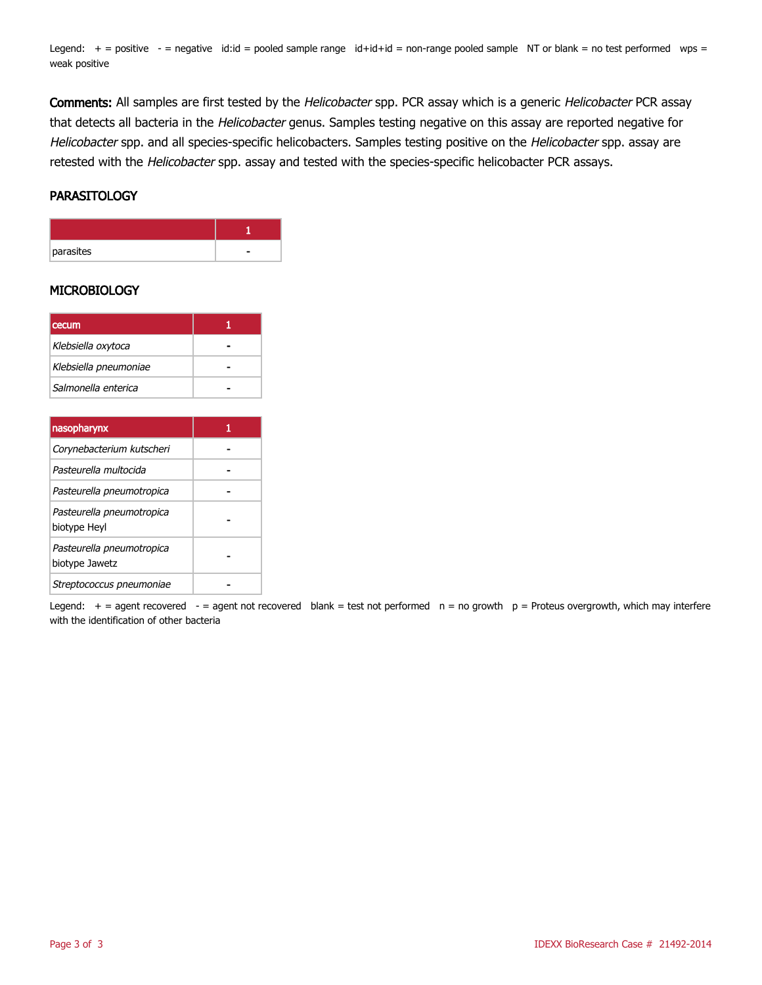Legend:  $+$  = positive  $-$  = negative id:id = pooled sample range id+id+id = non-range pooled sample NT or blank = no test performed wps = weak positive

Comments: All samples are first tested by the Helicobacter spp. PCR assay which is a generic Helicobacter PCR assay that detects all bacteria in the Helicobacter genus. Samples testing negative on this assay are reported negative for Helicobacter spp. and all species-specific helicobacters. Samples testing positive on the Helicobacter spp. assay are retested with the Helicobacter spp. assay and tested with the species-specific helicobacter PCR assays.

#### **PARASITOLOGY**

| parasites |  |
|-----------|--|

#### **MICROBIOLOGY**

| cecum                 |  |
|-----------------------|--|
| Klebsiella oxytoca    |  |
| Klebsiella pneumoniae |  |
| Salmonella enterica   |  |

| nasopharynx                                 | 1 |
|---------------------------------------------|---|
| Corynebacterium kutscheri                   |   |
| Pasteurella multocida                       |   |
| Pasteurella pneumotropica                   |   |
| Pasteurella pneumotropica<br>biotype Heyl   |   |
| Pasteurella pneumotropica<br>biotype Jawetz |   |
| Streptococcus pneumoniae                    |   |

Legend:  $+$  = agent recovered - = agent not recovered blank = test not performed  $n = no$  growth  $p =$  Proteus overgrowth, which may interfere with the identification of other bacteria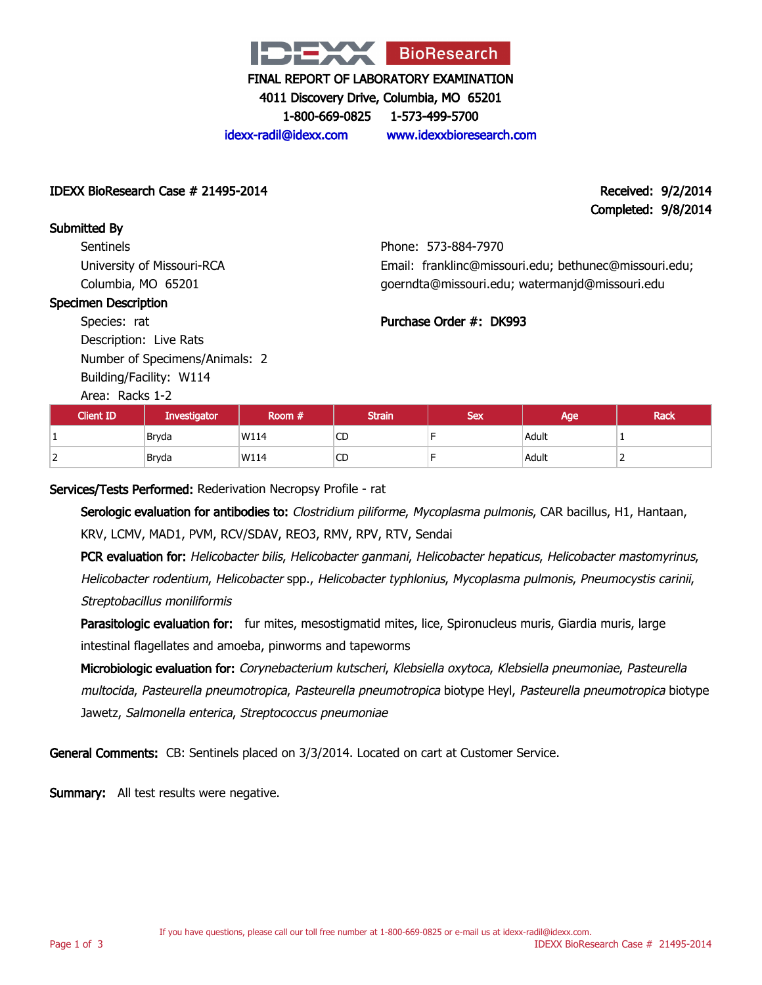

4011 Discovery Drive, Columbia, MO 65201

1-800-669-0825 1-573-499-5700

Phone: 573-884-7970

Purchase Order #: DK993

Email: franklinc@missouri.edu; bethunec@missouri.edu; goerndta@missouri.edu; watermanjd@missouri.edu

idexx-radil@idexx.com www.idexxbioresearch.com

#### IDEXX BioResearch Case # 21495-2014 Received: 9/2/2014

# Completed: 9/8/2014

Submitted By **Sentinels** University of Missouri-RCA Columbia, MO 65201

#### Specimen Description

Species: rat Description: Live Rats Number of Specimens/Animals: 2 Building/Facility: W114

Area: Racks 1-2

| Area: Racks I-2  |                     |          |               |            |       |      |
|------------------|---------------------|----------|---------------|------------|-------|------|
| <b>Client ID</b> | <b>Investigator</b> | Room $#$ | <b>Strain</b> | <b>Sex</b> | Age   | Rack |
|                  | Bryda               | W114     | <b>CD</b>     |            | Adult |      |
|                  | Bryda               | W114     | <b>CD</b>     |            | Adult |      |

Services/Tests Performed: Rederivation Necropsy Profile - rat

Serologic evaluation for antibodies to: Clostridium piliforme, Mycoplasma pulmonis, CAR bacillus, H1, Hantaan, KRV, LCMV, MAD1, PVM, RCV/SDAV, REO3, RMV, RPV, RTV, Sendai

PCR evaluation for: Helicobacter bilis, Helicobacter ganmani, Helicobacter hepaticus, Helicobacter mastomyrinus, Helicobacter rodentium, Helicobacter spp., Helicobacter typhlonius, Mycoplasma pulmonis, Pneumocystis carinii, Streptobacillus moniliformis

Parasitologic evaluation for: fur mites, mesostigmatid mites, lice, Spironucleus muris, Giardia muris, large intestinal flagellates and amoeba, pinworms and tapeworms

Microbiologic evaluation for: Corynebacterium kutscheri, Klebsiella oxytoca, Klebsiella pneumoniae, Pasteurella multocida, Pasteurella pneumotropica, Pasteurella pneumotropica biotype Heyl, Pasteurella pneumotropica biotype Jawetz, Salmonella enterica, Streptococcus pneumoniae

General Comments: CB: Sentinels placed on 3/3/2014. Located on cart at Customer Service.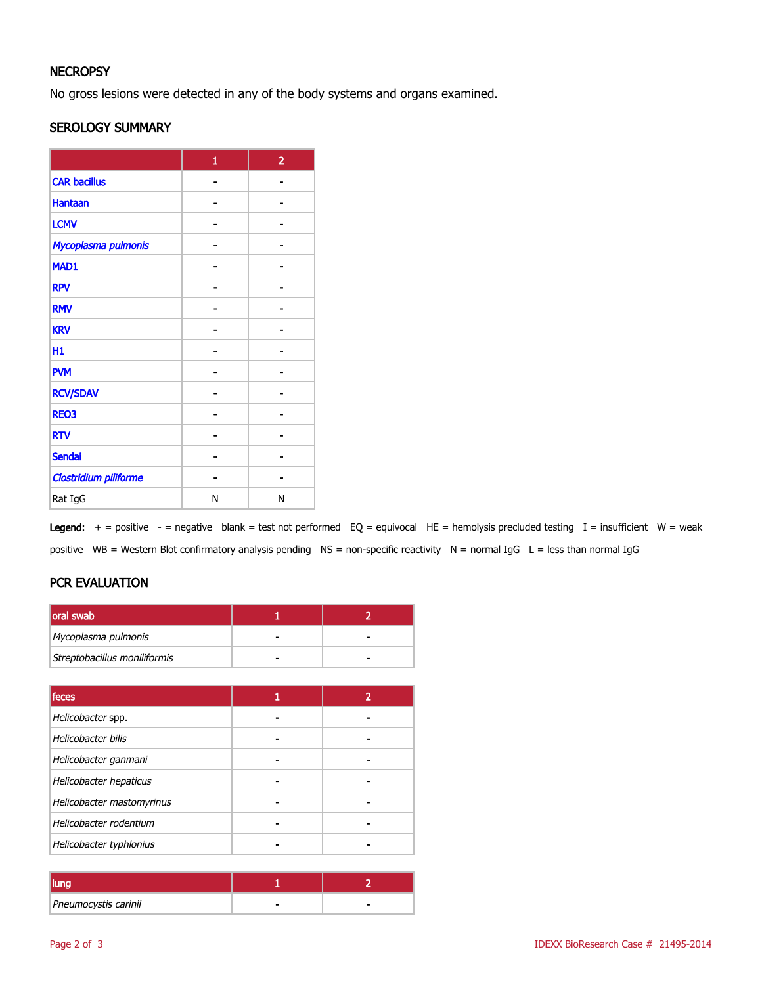# **NECROPSY**

No gross lesions were detected in any of the body systems and organs examined.

#### SEROLOGY SUMMARY

|                              | $\mathbf{1}$ | $\overline{2}$ |
|------------------------------|--------------|----------------|
| <b>CAR bacillus</b>          |              |                |
| <b>Hantaan</b>               |              |                |
| <b>LCMV</b>                  |              |                |
| Mycoplasma pulmonis          |              |                |
| MAD1                         |              |                |
| <b>RPV</b>                   |              |                |
| <b>RMV</b>                   |              |                |
| <b>KRV</b>                   |              |                |
| H1                           |              |                |
| <b>PVM</b>                   |              |                |
| <b>RCV/SDAV</b>              |              |                |
| <b>REO3</b>                  |              |                |
| <b>RTV</b>                   |              |                |
| <b>Sendai</b>                |              |                |
| <b>Clostridium piliforme</b> |              |                |
| Rat IgG                      | N            | N              |

Legend:  $+$  = positive  $-$  = negative blank = test not performed EQ = equivocal HE = hemolysis precluded testing I = insufficient W = weak positive WB = Western Blot confirmatory analysis pending NS = non-specific reactivity N = normal IgG L = less than normal IgG

# PCR EVALUATION

| oral swab                    |  |
|------------------------------|--|
| Mycoplasma pulmonis          |  |
| Streptobacillus moniliformis |  |

| feces                     | 2 |
|---------------------------|---|
| Helicobacter spp.         |   |
| Helicobacter bilis        |   |
| Helicobacter ganmani      |   |
| Helicobacter hepaticus    |   |
| Helicobacter mastomyrinus |   |
| Helicobacter rodentium    |   |
| Helicobacter typhlonius   |   |

| Pneumocystis carinii | - |
|----------------------|---|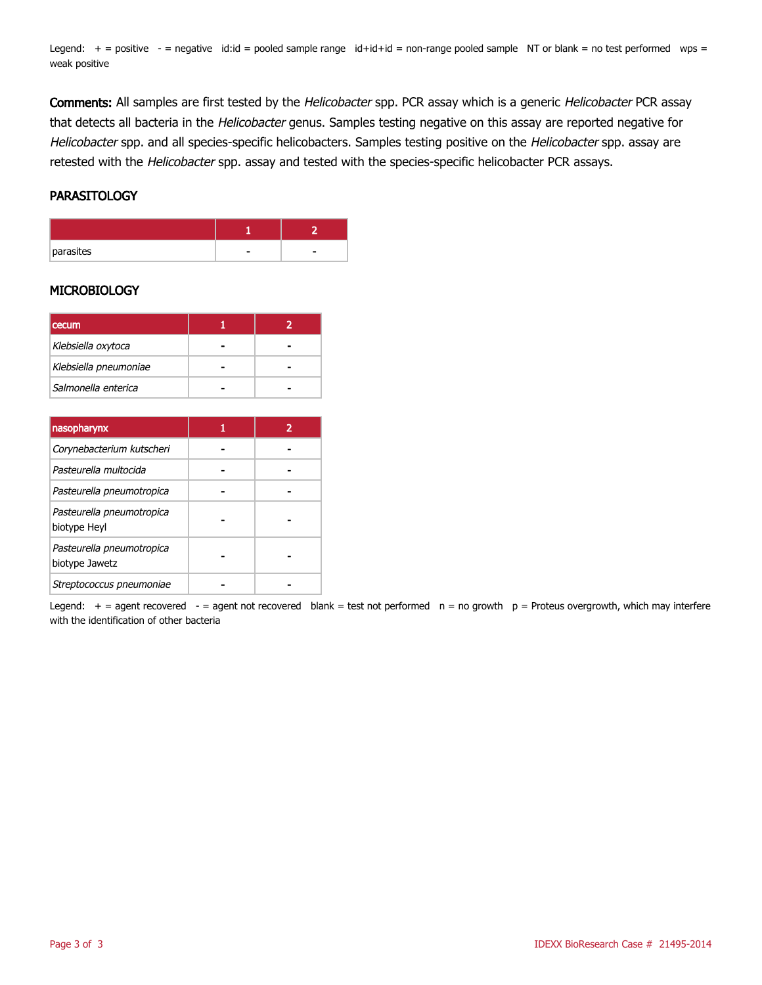Legend:  $+$  = positive  $-$  = negative id:id = pooled sample range id+id+id = non-range pooled sample NT or blank = no test performed wps = weak positive

Comments: All samples are first tested by the Helicobacter spp. PCR assay which is a generic Helicobacter PCR assay that detects all bacteria in the Helicobacter genus. Samples testing negative on this assay are reported negative for Helicobacter spp. and all species-specific helicobacters. Samples testing positive on the Helicobacter spp. assay are retested with the Helicobacter spp. assay and tested with the species-specific helicobacter PCR assays.

#### **PARASITOLOGY**

| parasites |  |
|-----------|--|

## **MICROBIOLOGY**

| <b>cecum</b>          |  |
|-----------------------|--|
| Klebsiella oxytoca    |  |
| Klebsiella pneumoniae |  |
| Salmonella enterica   |  |

| nasopharynx                                 |  |
|---------------------------------------------|--|
| Corynebacterium kutscheri                   |  |
| Pasteurella multocida                       |  |
| Pasteurella pneumotropica                   |  |
| Pasteurella pneumotropica<br>biotype Heyl   |  |
| Pasteurella pneumotropica<br>biotype Jawetz |  |
| Streptococcus pneumoniae                    |  |

Legend:  $+$  = agent recovered - = agent not recovered blank = test not performed  $n = no$  growth  $p =$  Proteus overgrowth, which may interfere with the identification of other bacteria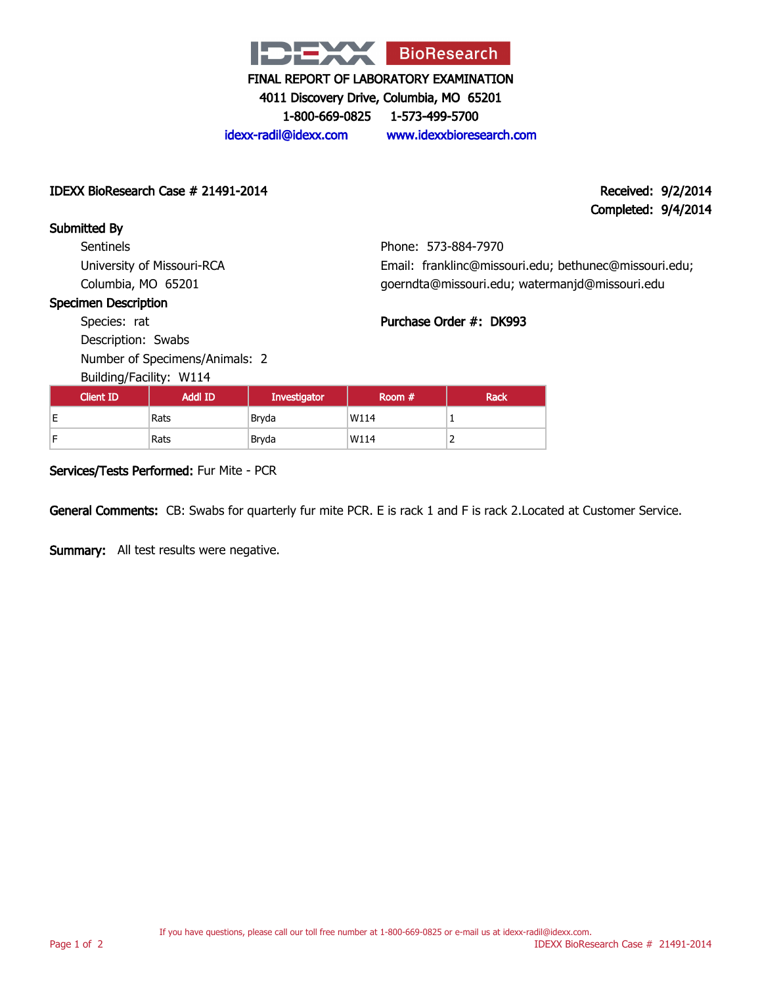

4011 Discovery Drive, Columbia, MO 65201

1-800-669-0825 1-573-499-5700

idexx-radil@idexx.com www.idexxbioresearch.com

#### IDEXX BioResearch Case # 21491-2014 Received: 9/2/2014

# Completed: 9/4/2014

Submitted By **Sentinels** University of Missouri-RCA Columbia, MO 65201

Phone: 573-884-7970 Email: franklinc@missouri.edu; bethunec@missouri.edu; goerndta@missouri.edu; watermanjd@missouri.edu

Purchase Order #: DK993

## Specimen Description

Species: rat Description: Swabs Number of Specimens/Animals: 2

Building/Facility: W114

| <b>Client ID</b> | <b>Addl ID</b> | <b>Investigator</b> | Room # | <b>Rack</b> |
|------------------|----------------|---------------------|--------|-------------|
| E                | Rats           | Bryda               | W114   |             |
| F                | Rats           | Bryda               | W114   |             |

Services/Tests Performed: Fur Mite - PCR

General Comments: CB: Swabs for quarterly fur mite PCR. E is rack 1 and F is rack 2.Located at Customer Service.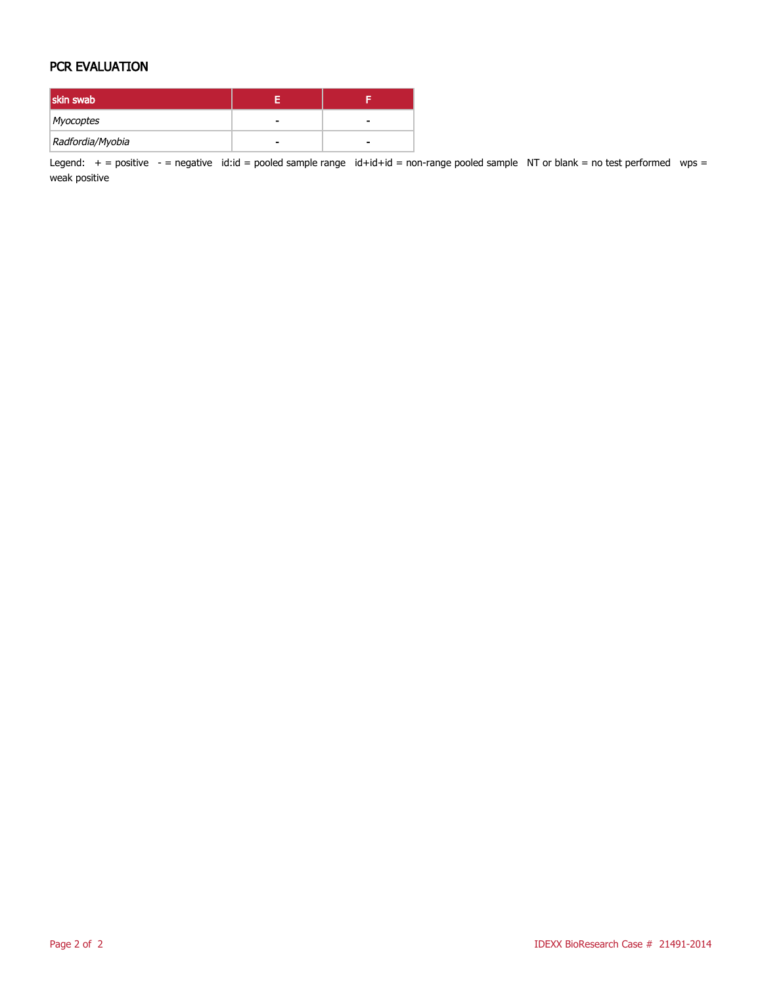## PCR EVALUATION

| skin swab        |                |
|------------------|----------------|
| Myocoptes        |                |
| Radfordia/Myobia | $\blacksquare$ |

Legend:  $+$  = positive  $-$  = negative id:id = pooled sample range id+id+id = non-range pooled sample NT or blank = no test performed wps = weak positive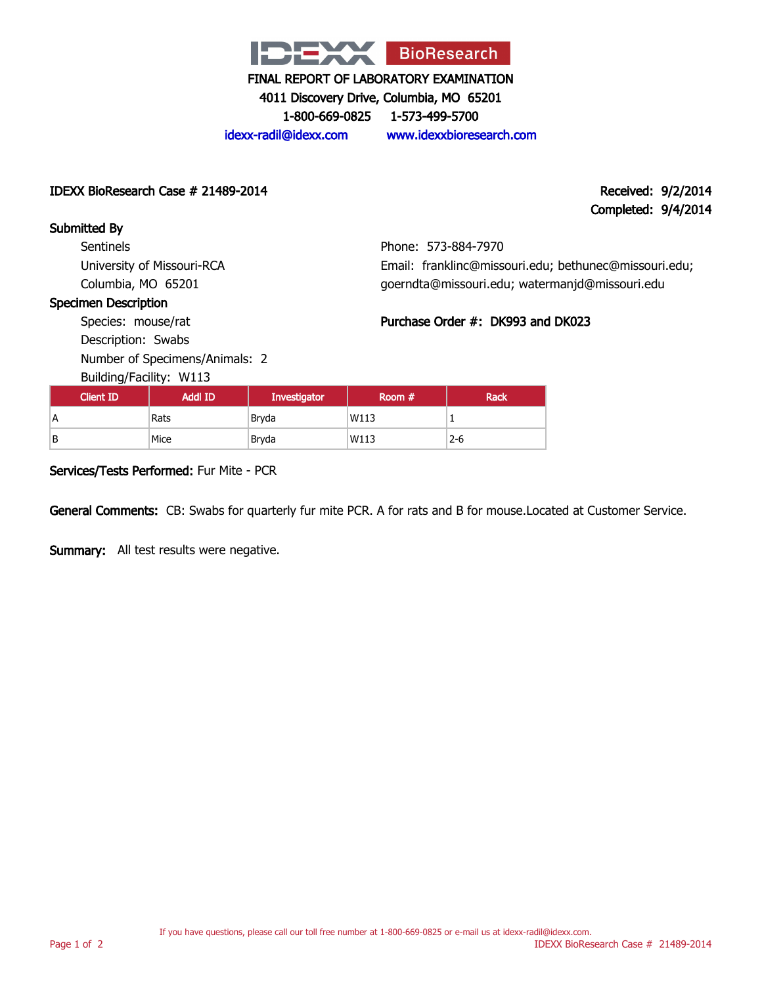

4011 Discovery Drive, Columbia, MO 65201

1-800-669-0825 1-573-499-5700

idexx-radil@idexx.com www.idexxbioresearch.com

#### IDEXX BioResearch Case # 21489-2014 Received: 9/2/2014

Completed: 9/4/2014

Submitted By **Sentinels** University of Missouri-RCA Columbia, MO 65201

Phone: 573-884-7970 Email: franklinc@missouri.edu; bethunec@missouri.edu; goerndta@missouri.edu; watermanjd@missouri.edu

Purchase Order #: DK993 and DK023

## Specimen Description

Species: mouse/rat Description: Swabs Number of Specimens/Animals: 2

Building/Facility: W113

| <b>Client ID</b> | <b>Addl ID</b> | <b>Investigator</b> | Room # | <b>Rack</b> |
|------------------|----------------|---------------------|--------|-------------|
| А                | Rats           | Bryda               | W113   |             |
| B                | Mice           | Bryda               | W113   | $2 - 6$     |

Services/Tests Performed: Fur Mite - PCR

General Comments: CB: Swabs for quarterly fur mite PCR. A for rats and B for mouse.Located at Customer Service.